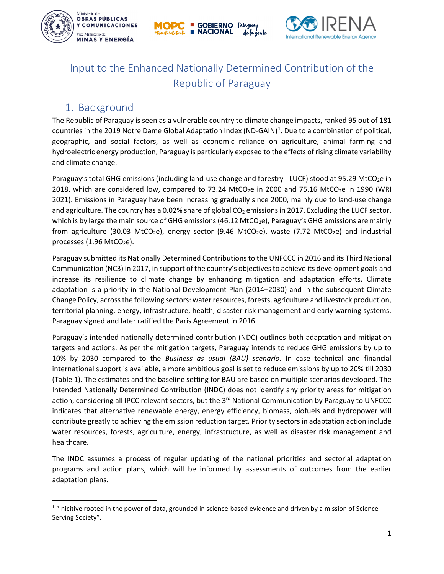





# Input to the Enhanced Nationally Determined Contribution of the Republic of Paraguay

### 1. Background

The Republic of Paraguay is seen as a vulnerable country to climate change impacts, ranked 95 out of 181 countries in the 20[1](#page-0-0)9 Notre Dame Global Adaptation Index (ND-GAIN)<sup>1</sup>. Due to a combination of political, geographic, and social factors, as well as economic reliance on agriculture, animal farming and hydroelectric energy production, Paraguay is particularly exposed to the effects of rising climate variability and climate change.

Paraguay's total GHG emissions (including land-use change and forestry - LUCF) stood at 95.29 MtCO<sub>2</sub>e in 2018, which are considered low, compared to 73.24 MtCO<sub>2</sub>e in 2000 and 75.16 MtCO<sub>2</sub>e in 1990 (WRI 2021). Emissions in Paraguay have been increasing gradually since 2000, mainly due to land-use change and agriculture. The country has a 0.02% share of global  $CO<sub>2</sub>$  emissions in 2017. Excluding the LUCF sector, which is by large the main source of GHG emissions (46.12 MtCO<sub>2</sub>e), Paraguay's GHG emissions are mainly from agriculture (30.03 MtCO<sub>2</sub>e), energy sector (9.46 MtCO<sub>2</sub>e), waste (7.72 MtCO<sub>2</sub>e) and industrial processes  $(1.96 \text{ MtCO}_2\text{e})$ .

Paraguay submitted its Nationally Determined Contributions to the UNFCCC in 2016 and its Third National Communication (NC3) in 2017, in support of the country's objectives to achieve its development goals and increase its resilience to climate change by enhancing mitigation and adaptation efforts. Climate adaptation is a priority in the National Development Plan (2014–2030) and in the subsequent Climate Change Policy, across the following sectors: water resources, forests, agriculture and livestock production, territorial planning, energy, infrastructure, health, disaster risk management and early warning systems. Paraguay signed and later ratified the Paris Agreement in 2016.

Paraguay's intended nationally determined contribution (NDC) outlines both adaptation and mitigation targets and actions. As per the mitigation targets, Paraguay intends to reduce GHG emissions by up to 10% by 2030 compared to the *Business as usual (BAU) scenario*. In case technical and financial international support is available, a more ambitious goal is set to reduce emissions by up to 20% till 2030 [\(Table 1\)](#page-1-0). The estimates and the baseline setting for BAU are based on multiple scenarios developed. The Intended Nationally Determined Contribution (INDC) does not identify any priority areas for mitigation action, considering all IPCC relevant sectors, but the 3<sup>rd</sup> National Communication by Paraguay to UNFCCC indicates that alternative renewable energy, energy efficiency, biomass, biofuels and hydropower will contribute greatly to achieving the emission reduction target. Priority sectors in adaptation action include water resources, forests, agriculture, energy, infrastructure, as well as disaster risk management and healthcare.

The INDC assumes a process of regular updating of the national priorities and sectorial adaptation programs and action plans, which will be informed by assessments of outcomes from the earlier adaptation plans.

<span id="page-0-0"></span> $1$  "Inicitive rooted in the power of data, grounded in science-based evidence and driven by a mission of Science Serving Society".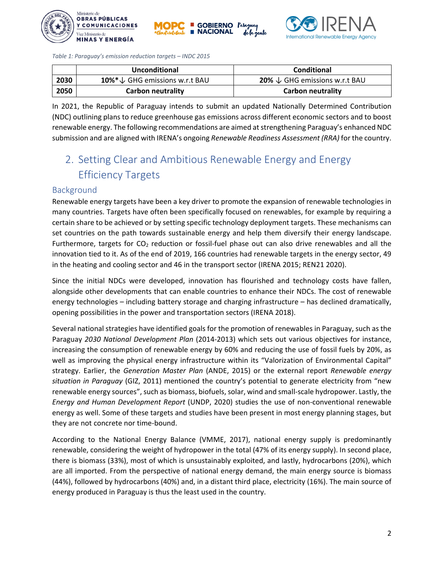





<span id="page-1-0"></span>*Table 1: Paraguay's emission reduction targets – INDC 2015*

|      | Unconditional                             | Conditional                                     |
|------|-------------------------------------------|-------------------------------------------------|
| 2030 | 10% $*\downarrow$ GHG emissions w.r.t BAU | <b>20%</b> $\downarrow$ GHG emissions w.r.t BAU |
| 2050 | Carbon neutrality                         | Carbon neutrality                               |

In 2021, the Republic of Paraguay intends to submit an updated Nationally Determined Contribution (NDC) outlining plans to reduce greenhouse gas emissions across different economic sectors and to boost renewable energy. The following recommendations are aimed at strengthening Paraguay's enhanced NDC submission and are aligned with IRENA's ongoing *Renewable Readiness Assessment (RRA)* for the country.

# 2. Setting Clear and Ambitious Renewable Energy and Energy Efficiency Targets

#### Background

Renewable energy targets have been a key driver to promote the expansion of renewable technologies in many countries. Targets have often been specifically focused on renewables, for example by requiring a certain share to be achieved or by setting specific technology deployment targets. These mechanisms can set countries on the path towards sustainable energy and help them diversify their energy landscape. Furthermore, targets for  $CO<sub>2</sub>$  reduction or fossil-fuel phase out can also drive renewables and all the innovation tied to it. As of the end of 2019, 166 countries had renewable targets in the energy sector, 49 in the heating and cooling sector and 46 in the transport sector (IRENA 2015; REN21 2020).

Since the initial NDCs were developed, innovation has flourished and technology costs have fallen, alongside other developments that can enable countries to enhance their NDCs. The cost of renewable energy technologies – including battery storage and charging infrastructure – has declined dramatically, opening possibilities in the power and transportation sectors (IRENA 2018).

Several national strategies have identified goals for the promotion of renewables in Paraguay, such as the Paraguay *2030 National Development Plan* (2014-2013) which sets out various objectives for instance, increasing the consumption of renewable energy by 60% and reducing the use of fossil fuels by 20%, as well as improving the physical energy infrastructure within its "Valorization of Environmental Capital" strategy. Earlier, the *Generation Master Plan* (ANDE, 2015) or the external report *Renewable energy situation in Paraguay* (GIZ, 2011) mentioned the country's potential to generate electricity from "new renewable energy sources", such as biomass, biofuels, solar, wind and small-scale hydropower. Lastly, the *Energy and Human Development Report* (UNDP, 2020) studies the use of non-conventional renewable energy as well. Some of these targets and studies have been present in most energy planning stages, but they are not concrete nor time-bound.

According to the National Energy Balance (VMME, 2017), national energy supply is predominantly renewable, considering the weight of hydropower in the total (47% of its energy supply). In second place, there is biomass (33%), most of which is unsustainably exploited, and lastly, hydrocarbons (20%), which are all imported. From the perspective of national energy demand, the main energy source is biomass (44%), followed by hydrocarbons (40%) and, in a distant third place, electricity (16%). The main source of energy produced in Paraguay is thus the least used in the country.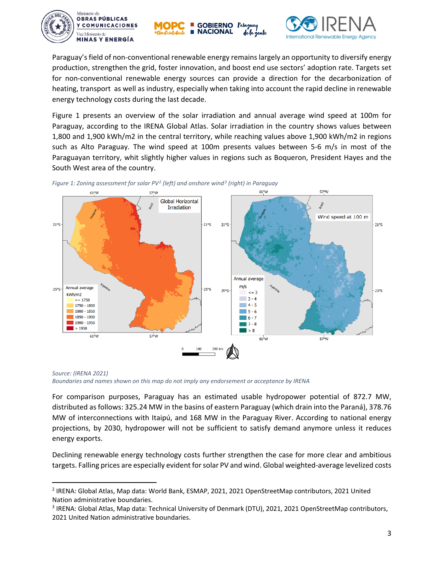





Paraguay's field of non-conventional renewable energy remains largely an opportunity to diversify energy production, strengthen the grid, foster innovation, and boost end use sectors' adoption rate. Targets set for non-conventional renewable energy sources can provide a direction for the decarbonization of heating, transport as well as industry, especially when taking into account the rapid decline in renewable energy technology costs during the last decade.

[Figure 1](#page-2-0) presents an overview of the solar irradiation and annual average wind speed at 100m for Paraguay, according to the IRENA Global Atlas. Solar irradiation in the country shows values between 1,800 and 1,900 kWh/m2 in the central territory, while reaching values above 1,900 kWh/m2 in regions such as Alto Paraguay. The wind speed at 100m presents values between 5-6 m/s in most of the Paraguayan territory, whit slightly higher values in regions such as Boqueron, President Hayes and the South West area of the country.



<span id="page-2-0"></span>*Figure 1: Zoning assessment for solar PV[2](#page-2-1) (left) and onshore wind[3](#page-2-2) (right) in Paraguay*

*Source: (IRENA 2021) Boundaries and names shown on this map do not imply any endorsement or acceptance by IRENA*

For comparison purposes, Paraguay has an estimated usable hydropower potential of 872.7 MW, distributed as follows: 325.24 MW in the basins of eastern Paraguay (which drain into the Paraná), 378.76 MW of interconnections with Itaipú, and 168 MW in the Paraguay River. According to national energy projections, by 2030, hydropower will not be sufficient to satisfy demand anymore unless it reduces energy exports.

Declining renewable energy technology costs further strengthen the case for more clear and ambitious targets. Falling prices are especially evident for solar PV and wind. Global weighted-average levelized costs

<span id="page-2-1"></span> <sup>2</sup> IRENA: Global Atlas, Map data: World Bank, ESMAP, 2021, 2021 OpenStreetMap contributors, 2021 United Nation administrative boundaries.

<span id="page-2-2"></span><sup>3</sup> IRENA: Global Atlas, Map data: Technical University of Denmark (DTU), 2021, 2021 OpenStreetMap contributors, 2021 United Nation administrative boundaries.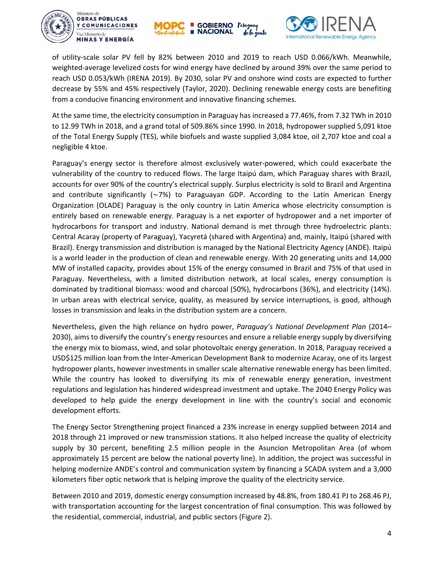





of utility-scale solar PV fell by 82% between 2010 and 2019 to reach USD 0.066/kWh. Meanwhile, weighted-average levelized costs for wind energy have declined by around 39% over the same period to reach USD 0.053/kWh (IRENA 2019). By 2030, solar PV and onshore wind costs are expected to further decrease by 55% and 45% respectively (Taylor, 2020). Declining renewable energy costs are benefiting from a conducive financing environment and innovative financing schemes.

At the same time, the electricity consumption in Paraguay has increased a 77.46%, from 7.32 TWh in 2010 to 12.99 TWh in 2018, and a grand total of 509.86% since 1990. In 2018, hydropower supplied 5,091 ktoe of the Total Energy Supply (TES), while biofuels and waste supplied 3,084 ktoe, oil 2,707 ktoe and coal a negligible 4 ktoe.

Paraguay's energy sector is therefore almost exclusively water-powered, which could exacerbate the vulnerability of the country to reduced flows. The large Itaipú dam, which Paraguay shares with Brazil, accounts for over 90% of the country's electrical supply. Surplus electricity is sold to Brazil and Argentina and contribute significantly (∼7%) to Paraguayan GDP. According to the Latin American Energy Organization (OLADE) Paraguay is the only country in Latin America whose electricity consumption is entirely based on renewable energy. Paraguay is a net exporter of hydropower and a net importer of hydrocarbons for transport and industry. National demand is met through three hydroelectric plants: Central Acaray (property of Paraguay), Yacyretá (shared with Argentina) and, mainly, Itaipú (shared with Brazil). Energy transmission and distribution is managed by the National Electricity Agency (ANDE). Itaipú is a world leader in the production of clean and renewable energy. With 20 generating units and 14,000 MW of installed capacity, provides about 15% of the energy consumed in Brazil and 75% of that used in Paraguay. Nevertheless, with a limited distribution network, at local scales, energy consumption is dominated by traditional biomass: wood and charcoal (50%), hydrocarbons (36%), and electricity (14%). In urban areas with electrical service, quality, as measured by service interruptions, is good, although losses in transmission and leaks in the distribution system are a concern.

Nevertheless, given the high reliance on hydro power, *Paraguay's National Development Plan* (2014– 2030), aims to diversify the country's energy resources and ensure a reliable energy supply by diversifying the energy mix to biomass, wind, and solar photovoltaic energy generation. In 2018, Paraguay received a USD\$125 million loan from the Inter-American Development Bank to modernize Acaray, one of its largest hydropower plants, however investments in smaller scale alternative renewable energy has been limited. While the country has looked to diversifying its mix of renewable energy generation, investment regulations and legislation has hindered widespread investment and uptake. The 2040 Energy Policy was developed to help guide the energy development in line with the country's social and economic development efforts.

The Energy Sector Strengthening project financed a 23% increase in energy supplied between 2014 and 2018 through 21 improved or new transmission stations. It also helped increase the quality of electricity supply by 30 percent, benefiting 2.5 million people in the Asuncion Metropolitan Area (of whom approximately 15 percent are below the national poverty line). In addition, the project was successful in helping modernize ANDE's control and communication system by financing a SCADA system and a 3,000 kilometers fiber optic network that is helping improve the quality of the electricity service.

Between 2010 and 2019, domestic energy consumption increased by 48.8%, from 180.41 PJ to 268.46 PJ, with transportation accounting for the largest concentration of final consumption. This was followed by the residential, commercial, industrial, and public sectors (Figure 2).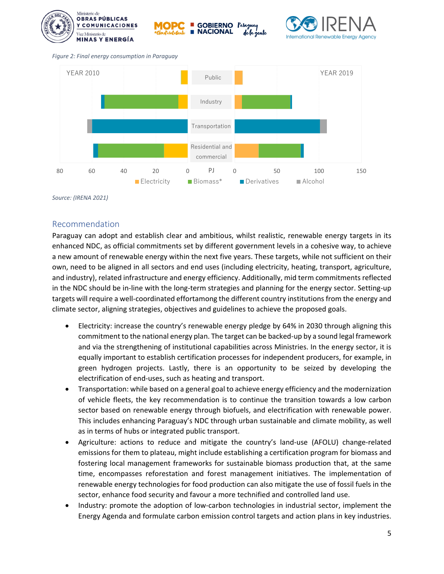



*Figure 2: Final energy consumption in Paraguay*



*Source: (IRENA 2021)*

#### Recommendation

Paraguay can adopt and establish clear and ambitious, whilst realistic, renewable energy targets in its enhanced NDC, as official commitments set by different government levels in a cohesive way, to achieve a new amount of renewable energy within the next five years. These targets, while not sufficient on their own, need to be aligned in all sectors and end uses (including electricity, heating, transport, agriculture, and industry), related infrastructure and energy efficiency. Additionally, mid term commitments reflected in the NDC should be in-line with the long-term strategies and planning for the energy sector. Setting-up targets will require a well-coordinated effortamong the different country institutions from the energy and climate sector, aligning strategies, objectives and guidelines to achieve the proposed goals.

- Electricity: increase the country's renewable energy pledge by 64% in 2030 through aligning this commitment to the national energy plan. The target can be backed-up by a sound legal framework and via the strengthening of institutional capabilities across Ministries. In the energy sector, it is equally important to establish certification processes for independent producers, for example, in green hydrogen projects. Lastly, there is an opportunity to be seized by developing the electrification of end-uses, such as heating and transport.
- Transportation: while based on a general goal to achieve energy efficiency and the modernization of vehicle fleets, the key recommendation is to continue the transition towards a low carbon sector based on renewable energy through biofuels, and electrification with renewable power. This includes enhancing Paraguay's NDC through urban sustainable and climate mobility, as well as in terms of hubs or integrated public transport.
- Agriculture: actions to reduce and mitigate the country's land-use (AFOLU) change-related emissions for them to plateau, might include establishing a certification program for biomass and fostering local management frameworks for sustainable biomass production that, at the same time, encompasses reforestation and forest management initiatives. The implementation of renewable energy technologies for food production can also mitigate the use of fossil fuels in the sector, enhance food security and favour a more technified and controlled land use.
- Industry: promote the adoption of low-carbon technologies in industrial sector, implement the Energy Agenda and formulate carbon emission control targets and action plans in key industries.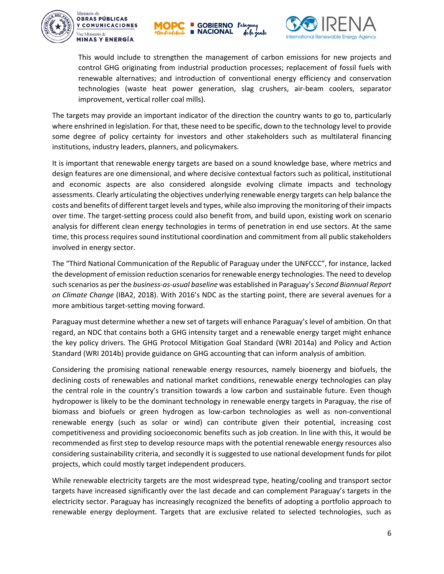





This would include to strengthen the management of carbon emissions for new projects and control GHG originating from industrial production processes; replacement of fossil fuels with renewable alternatives; and introduction of conventional energy efficiency and conservation technologies (waste heat power generation, slag crushers, air-beam coolers, separator improvement, vertical roller coal mills).

The targets may provide an important indicator of the direction the country wants to go to, particularly where enshrined in legislation. For that, these need to be specific, down to the technology level to provide some degree of policy certainty for investors and other stakeholders such as multilateral financing institutions, industry leaders, planners, and policymakers.

It is important that renewable energy targets are based on a sound knowledge base, where metrics and design features are one dimensional, and where decisive contextual factors such as political, institutional and economic aspects are also considered alongside evolving climate impacts and technology assessments. Clearly articulating the objectives underlying renewable energy targets can help balance the costs and benefits of different target levels and types, while also improving the monitoring of their impacts over time. The target-setting process could also benefit from, and build upon, existing work on scenario analysis for different clean energy technologies in terms of penetration in end use sectors. At the same time, this process requires sound institutional coordination and commitment from all public stakeholders involved in energy sector.

The "Third National Communication of the Republic of Paraguay under the UNFCCC", for instance, lacked the development of emission reduction scenarios for renewable energy technologies. The need to develop such scenarios as per the *business-as-usual baseline* was established in Paraguay's *Second Biannual Report on Climate Change* (IBA2, 2018). With 2016's NDC as the starting point, there are several avenues for a more ambitious target-setting moving forward.

Paraguay must determine whether a new set of targets will enhance Paraguay's level of ambition. On that regard, an NDC that contains both a GHG intensity target and a renewable energy target might enhance the key policy drivers. The GHG Protocol Mitigation Goal Standard (WRI 2014a) and Policy and Action Standard (WRI 2014b) provide guidance on GHG accounting that can inform analysis of ambition.

Considering the promising national renewable energy resources, namely bioenergy and biofuels, the declining costs of renewables and national market conditions, renewable energy technologies can play the central role in the country's transition towards a low carbon and sustainable future. Even though hydropower is likely to be the dominant technology in renewable energy targets in Paraguay, the rise of biomass and biofuels or green hydrogen as low-carbon technologies as well as non-conventional renewable energy (such as solar or wind) can contribute given their potential, increasing cost competitiveness and providing socioeconomic benefits such as job creation. In line with this, it would be recommended as first step to develop resource maps with the potential renewable energy resources also considering sustainability criteria, and secondly it is suggested to use national development funds for pilot projects, which could mostly target independent producers.

While renewable electricity targets are the most widespread type, heating/cooling and transport sector targets have increased significantly over the last decade and can complement Paraguay's targets in the electricity sector. Paraguay has increasingly recognized the benefits of adopting a portfolio approach to renewable energy deployment. Targets that are exclusive related to selected technologies, such as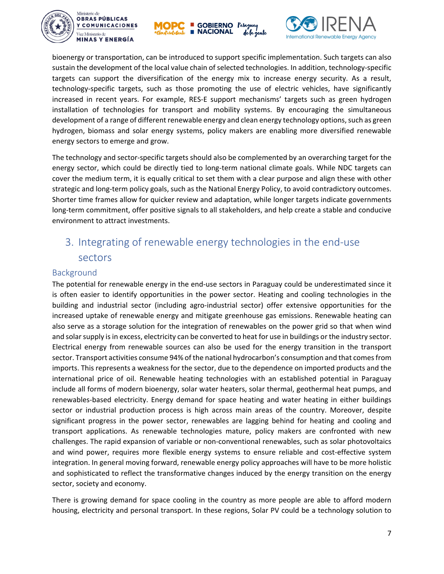





bioenergy or transportation, can be introduced to support specific implementation. Such targets can also sustain the development of the local value chain of selected technologies. In addition, technology-specific targets can support the diversification of the energy mix to increase energy security. As a result, technology-specific targets, such as those promoting the use of electric vehicles, have significantly increased in recent years. For example, RES-E support mechanisms' targets such as green hydrogen installation of technologies for transport and mobility systems. By encouraging the simultaneous development of a range of different renewable energy and clean energy technology options, such as green hydrogen, biomass and solar energy systems, policy makers are enabling more diversified renewable energy sectors to emerge and grow.

The technology and sector-specific targets should also be complemented by an overarching target for the energy sector, which could be directly tied to long-term national climate goals. While NDC targets can cover the medium term, it is equally critical to set them with a clear purpose and align these with other strategic and long-term policy goals, such as the National Energy Policy, to avoid contradictory outcomes. Shorter time frames allow for quicker review and adaptation, while longer targets indicate governments long-term commitment, offer positive signals to all stakeholders, and help create a stable and conducive environment to attract investments.

## 3. Integrating of renewable energy technologies in the end-use sectors

#### Background

The potential for renewable energy in the end-use sectors in Paraguay could be underestimated since it is often easier to identify opportunities in the power sector. Heating and cooling technologies in the building and industrial sector (including agro-industrial sector) offer extensive opportunities for the increased uptake of renewable energy and mitigate greenhouse gas emissions. Renewable heating can also serve as a storage solution for the integration of renewables on the power grid so that when wind and solar supply is in excess, electricity can be converted to heat for use in buildings or the industry sector. Electrical energy from renewable sources can also be used for the energy transition in the transport sector. Transport activities consume 94% of the national hydrocarbon's consumption and that comes from imports. This represents a weakness for the sector, due to the dependence on imported products and the international price of oil. Renewable heating technologies with an established potential in Paraguay include all forms of modern bioenergy, solar water heaters, solar thermal, geothermal heat pumps, and renewables-based electricity. Energy demand for space heating and water heating in either buildings sector or industrial production process is high across main areas of the country. Moreover, despite significant progress in the power sector, renewables are lagging behind for heating and cooling and transport applications. As renewable technologies mature, policy makers are confronted with new challenges. The rapid expansion of variable or non-conventional renewables, such as solar photovoltaics and wind power, requires more flexible energy systems to ensure reliable and cost-effective system integration. In general moving forward, renewable energy policy approaches will have to be more holistic and sophisticated to reflect the transformative changes induced by the energy transition on the energy sector, society and economy.

There is growing demand for space cooling in the country as more people are able to afford modern housing, electricity and personal transport. In these regions, Solar PV could be a technology solution to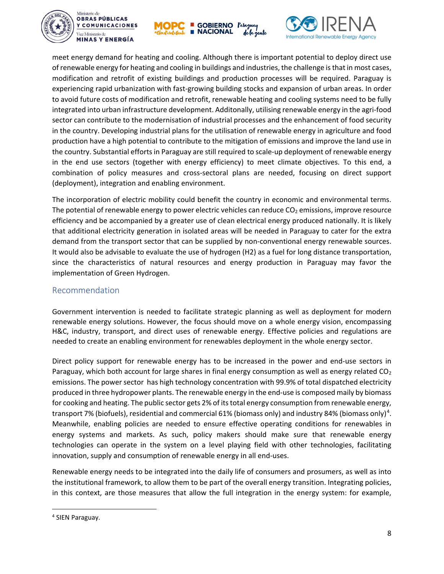





meet energy demand for heating and cooling. Although there is important potential to deploy direct use of renewable energy for heating and cooling in buildings and industries, the challenge is that in most cases, modification and retrofit of existing buildings and production processes will be required. Paraguay is experiencing rapid urbanization with fast-growing building stocks and expansion of urban areas. In order to avoid future costs of modification and retrofit, renewable heating and cooling systems need to be fully integrated into urban infrastructure development. Additonally, utilising renewable energy in the agri-food sector can contribute to the modernisation of industrial processes and the enhancement of food security in the country. Developing industrial plans for the utilisation of renewable energy in agriculture and food production have a high potential to contribute to the mitigation of emissions and improve the land use in the country. Substantial efforts in Paraguay are still required to scale-up deployment of renewable energy in the end use sectors (together with energy efficiency) to meet climate objectives. To this end, a combination of policy measures and cross-sectoral plans are needed, focusing on direct support (deployment), integration and enabling environment.

The incorporation of electric mobility could benefit the country in economic and environmental terms. The potential of renewable energy to power electric vehicles can reduce  $CO<sub>2</sub>$  emissions, improve resource efficiency and be accompanied by a greater use of clean electrical energy produced nationally. It is likely that additional electricity generation in isolated areas will be needed in Paraguay to cater for the extra demand from the transport sector that can be supplied by non-conventional energy renewable sources. It would also be advisable to evaluate the use of hydrogen (H2) as a fuel for long distance transportation, since the characteristics of natural resources and energy production in Paraguay may favor the implementation of Green Hydrogen.

#### Recommendation

Government intervention is needed to facilitate strategic planning as well as deployment for modern renewable energy solutions. However, the focus should move on a whole energy vision, encompassing H&C, industry, transport, and direct uses of renewable energy. Effective policies and regulations are needed to create an enabling environment for renewables deployment in the whole energy sector.

Direct policy support for renewable energy has to be increased in the power and end-use sectors in Paraguay, which both account for large shares in final energy consumption as well as energy related  $CO<sub>2</sub>$ emissions. The power sector has high technology concentration with 99.9% of total dispatched electricity produced in three hydropower plants. The renewable energy in the end-use is composed maily by biomass for cooking and heating. The public sector gets 2% of its total energy consumption from renewable energy, transport 7% (biofuels), residential and commercial 61% (biomass only) and industry 8[4](#page-7-0)% (biomass only)<sup>4</sup>. Meanwhile, enabling policies are needed to ensure effective operating conditions for renewables in energy systems and markets. As such, policy makers should make sure that renewable energy technologies can operate in the system on a level playing field with other technologies, facilitating innovation, supply and consumption of renewable energy in all end-uses.

Renewable energy needs to be integrated into the daily life of consumers and prosumers, as well as into the institutional framework, to allow them to be part of the overall energy transition. Integrating policies, in this context, are those measures that allow the full integration in the energy system: for example,

<span id="page-7-0"></span> <sup>4</sup> SIEN Paraguay.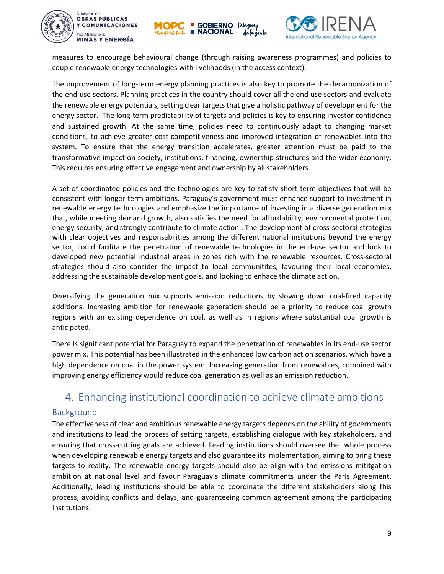





measures to encourage behavioural change (through raising awareness programmes) and policies to couple renewable energy technologies with livelihoods (in the access context).

The improvement of long-term energy planning practices is also key to promote the decarbonization of the end use sectors. Planning practices in the country should cover all the end use sectors and evaluate the renewable energy potentials, setting clear targets that give a holistic pathway of development for the energy sector. The long-term predictability of targets and policies is key to ensuring investor confidence and sustained growth. At the same time, policies need to continuously adapt to changing market conditions, to achieve greater cost-competitiveness and improved integration of renewables into the system. To ensure that the energy transition accelerates, greater attention must be paid to the transformative impact on society, institutions, financing, ownership structures and the wider economy. This requires ensuring effective engagement and ownership by all stakeholders.

A set of coordinated policies and the technologies are key to satisfy short-term objectives that will be consistent with longer-term ambitions. Paraguay's government must enhance support to investment in renewable energy technologies and emphasize the importance of investing in a diverse generation mix that, while meeting demand growth, also satisfies the need for affordability, environmental protection, energy security, and strongly contribute to climate action.. The development of cross-sectoral strategies with clear objectives and responsabilities among the different national insitutions beyond the energy sector, could facilitate the penetration of renewable technologies in the end-use sector and look to developed new potential industrial areas in zones rich with the renewable resources. Cross-sectoral strategies should also consider the impact to local communitites, favouring their local economies, addressing the sustainable development goals, and looking to enhace the climate action.

Diversifying the generation mix supports emission reductions by slowing down coal-fired capacity additions. Increasing ambition for renewable generation should be a priority to reduce coal growth regions with an existing dependence on coal, as well as in regions where substantial coal growth is anticipated.

There is significant potential for Paraguay to expand the penetration of renewables in its end-use sector power mix. This potential has been illustrated in the enhanced low carbon action scenarios, which have a high dependence on coal in the power system. Increasing generation from renewables, combined with improving energy efficiency would reduce coal generation as well as an emission reduction.

### 4. Enhancing institutional coordination to achieve climate ambitions

#### Background

The effectiveness of clear and ambitious renewable energy targets depends on the ability of governments and institutions to lead the process of setting targets, establishing dialogue with key stakeholders, and ensuring that cross-cutting goals are achieved. Leading institutions should oversee the whole process when developing renewable energy targets and also guarantee its implementation, aiming to bring these targets to reality. The renewable energy targets should also be align with the emissions mititgation ambition at national level and favour Paraguay's climate commitments under the Paris Agreement. Additionally, leading institutions should be able to coordinate the different stakeholders along this process, avoiding conflicts and delays, and guaranteeing common agreement among the participating Institutions.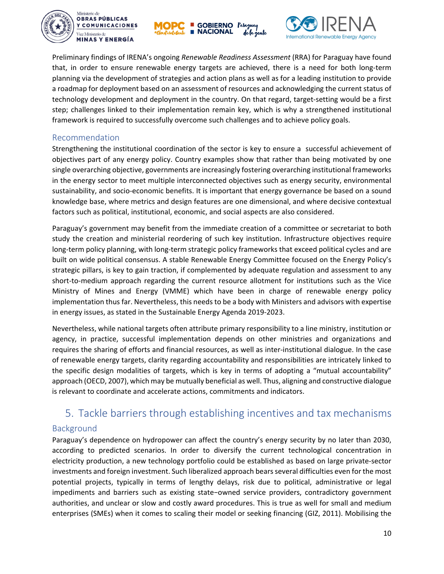





Preliminary findings of IRENA's ongoing *Renewable Readiness Assessment* (RRA) for Paraguay have found that, in order to ensure renewable energy targets are achieved, there is a need for both long-term planning via the development of strategies and action plans as well as for a leading institution to provide a roadmap for deployment based on an assessment of resources and acknowledging the current status of technology development and deployment in the country. On that regard, target-setting would be a first step; challenges linked to their implementation remain key, which is why a strengthened institutional framework is required to successfully overcome such challenges and to achieve policy goals.

#### Recommendation

Strengthening the institutional coordination of the sector is key to ensure a successful achievement of objectives part of any energy policy. Country examples show that rather than being motivated by one single overarching objective, governments are increasingly fostering overarching institutional frameworks in the energy sector to meet multiple interconnected objectives such as energy security, environmental sustainability, and socio-economic benefits. It is important that energy governance be based on a sound knowledge base, where metrics and design features are one dimensional, and where decisive contextual factors such as political, institutional, economic, and social aspects are also considered.

Paraguay's government may benefit from the immediate creation of a committee or secretariat to both study the creation and ministerial reordering of such key institution. Infrastructure objectives require long-term policy planning, with long-term strategic policy frameworks that exceed political cycles and are built on wide political consensus. A stable Renewable Energy Committee focused on the Energy Policy's strategic pillars, is key to gain traction, if complemented by adequate regulation and assessment to any short-to-medium approach regarding the current resource allotment for institutions such as the Vice Ministry of Mines and Energy (VMME) which have been in charge of renewable energy policy implementation thus far. Nevertheless, this needs to be a body with Ministers and advisors with expertise in energy issues, as stated in the Sustainable Energy Agenda 2019-2023.

Nevertheless, while national targets often attribute primary responsibility to a line ministry, institution or agency, in practice, successful implementation depends on other ministries and organizations and requires the sharing of efforts and financial resources, as well as inter-institutional dialogue. In the case of renewable energy targets, clarity regarding accountability and responsibilities are intricately linked to the specific design modalities of targets, which is key in terms of adopting a "mutual accountability" approach (OECD, 2007), which may be mutually beneficial as well. Thus, aligning and constructive dialogue is relevant to coordinate and accelerate actions, commitments and indicators.

### 5. Tackle barriers through establishing incentives and tax mechanisms

#### Background

Paraguay's dependence on hydropower can affect the country's energy security by no later than 2030, according to predicted scenarios. In order to diversify the current technological concentration in electricity production, a new technology portfolio could be established as based on large private-sector investments and foreign investment. Such liberalized approach bears several difficulties even for the most potential projects, typically in terms of lengthy delays, risk due to political, administrative or legal impediments and barriers such as existing state−owned service providers, contradictory government authorities, and unclear or slow and costly award procedures. This is true as well for small and medium enterprises (SMEs) when it comes to scaling their model or seeking financing (GIZ, 2011). Mobilising the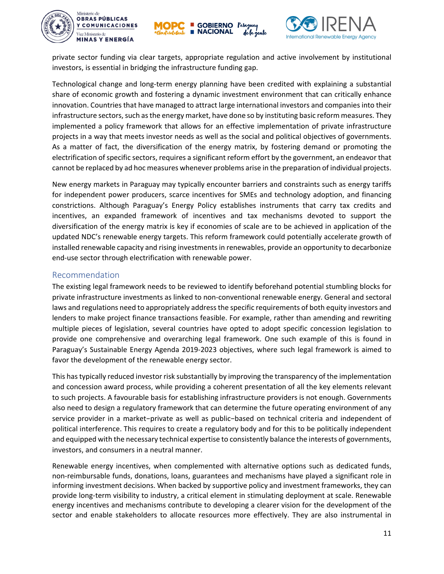





private sector funding via clear targets, appropriate regulation and active involvement by institutional investors, is essential in bridging the infrastructure funding gap.

Technological change and long-term energy planning have been credited with explaining a substantial share of economic growth and fostering a dynamic investment environment that can critically enhance innovation. Countries that have managed to attract large international investors and companies into their infrastructure sectors, such as the energy market, have done so by instituting basic reform measures. They implemented a policy framework that allows for an effective implementation of private infrastructure projects in a way that meets investor needs as well as the social and political objectives of governments. As a matter of fact, the diversification of the energy matrix, by fostering demand or promoting the electrification of specific sectors, requires a significant reform effort by the government, an endeavor that cannot be replaced by ad hoc measures whenever problems arise in the preparation of individual projects.

New energy markets in Paraguay may typically encounter barriers and constraints such as energy tariffs for independent power producers, scarce incentives for SMEs and technology adoption, and financing constrictions. Although Paraguay's Energy Policy establishes instruments that carry tax credits and incentives, an expanded framework of incentives and tax mechanisms devoted to support the diversification of the energy matrix is key if economies of scale are to be achieved in application of the updated NDC's renewable energy targets. This reform framework could potentially accelerate growth of installed renewable capacity and rising investments in renewables, provide an opportunity to decarbonize end-use sector through electrification with renewable power.

#### Recommendation

The existing legal framework needs to be reviewed to identify beforehand potential stumbling blocks for private infrastructure investments as linked to non-conventional renewable energy. General and sectoral laws and regulations need to appropriately address the specific requirements of both equity investors and lenders to make project finance transactions feasible. For example, rather than amending and rewriting multiple pieces of legislation, several countries have opted to adopt specific concession legislation to provide one comprehensive and overarching legal framework. One such example of this is found in Paraguay's Sustainable Energy Agenda 2019-2023 objectives, where such legal framework is aimed to favor the development of the renewable energy sector.

This has typically reduced investor risk substantially by improving the transparency of the implementation and concession award process, while providing a coherent presentation of all the key elements relevant to such projects. A favourable basis for establishing infrastructure providers is not enough. Governments also need to design a regulatory framework that can determine the future operating environment of any service provider in a market−private as well as public−based on technical criteria and independent of political interference. This requires to create a regulatory body and for this to be politically independent and equipped with the necessary technical expertise to consistently balance the interests of governments, investors, and consumers in a neutral manner.

Renewable energy incentives, when complemented with alternative options such as dedicated funds, non-reimbursable funds, donations, loans, guarantees and mechanisms have played a significant role in informing investment decisions. When backed by supportive policy and investment frameworks, they can provide long-term visibility to industry, a critical element in stimulating deployment at scale. Renewable energy incentives and mechanisms contribute to developing a clearer vision for the development of the sector and enable stakeholders to allocate resources more effectively. They are also instrumental in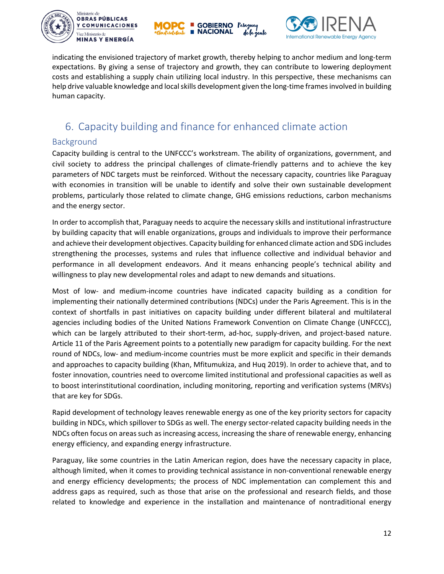





indicating the envisioned trajectory of market growth, thereby helping to anchor medium and long-term expectations. By giving a sense of trajectory and growth, they can contribute to lowering deployment costs and establishing a supply chain utilizing local industry. In this perspective, these mechanisms can help drive valuable knowledge and local skills development given the long-time frames involved in building human capacity.

### 6. Capacity building and finance for enhanced climate action

#### Background

Capacity building is central to the UNFCCC's workstream. The ability of organizations, government, and civil society to address the principal challenges of climate-friendly patterns and to achieve the key parameters of NDC targets must be reinforced. Without the necessary capacity, countries like Paraguay with economies in transition will be unable to identify and solve their own sustainable development problems, particularly those related to climate change, GHG emissions reductions, carbon mechanisms and the energy sector.

In order to accomplish that, Paraguay needs to acquire the necessary skills and institutional infrastructure by building capacity that will enable organizations, groups and individuals to improve their performance and achieve their development objectives. Capacity building for enhanced climate action and SDG includes strengthening the processes, systems and rules that influence collective and individual behavior and performance in all development endeavors. And it means enhancing people's technical ability and willingness to play new developmental roles and adapt to new demands and situations.

Most of low- and medium-income countries have indicated capacity building as a condition for implementing their nationally determined contributions (NDCs) under the Paris Agreement. This is in the context of shortfalls in past initiatives on capacity building under different bilateral and multilateral agencies including bodies of the United Nations Framework Convention on Climate Change (UNFCCC), which can be largely attributed to their short-term, ad-hoc, supply-driven, and project-based nature. Article 11 of the Paris Agreement points to a potentially new paradigm for capacity building. For the next round of NDCs, low- and medium-income countries must be more explicit and specific in their demands and approaches to capacity building (Khan, Mfitumukiza, and Huq 2019). In order to achieve that, and to foster innovation, countries need to overcome limited institutional and professional capacities as well as to boost interinstitutional coordination, including monitoring, reporting and verification systems (MRVs) that are key for SDGs.

Rapid development of technology leaves renewable energy as one of the key priority sectors for capacity building in NDCs, which spillover to SDGs as well. The energy sector-related capacity building needs in the NDCs often focus on areas such as increasing access, increasing the share of renewable energy, enhancing energy efficiency, and expanding energy infrastructure.

Paraguay, like some countries in the Latin American region, does have the necessary capacity in place, although limited, when it comes to providing technical assistance in non-conventional renewable energy and energy efficiency developments; the process of NDC implementation can complement this and address gaps as required, such as those that arise on the professional and research fields, and those related to knowledge and experience in the installation and maintenance of nontraditional energy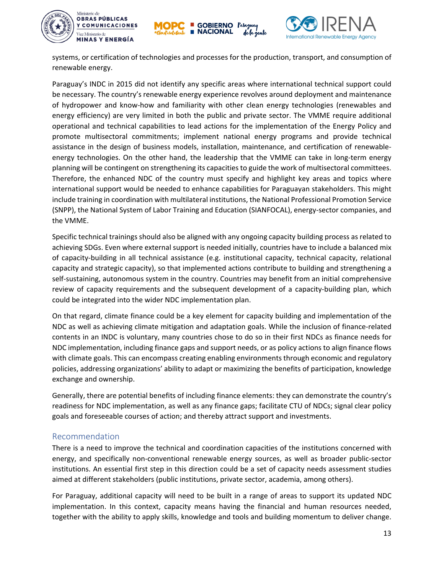





systems, or certification of technologies and processes for the production, transport, and consumption of renewable energy.

Paraguay's INDC in 2015 did not identify any specific areas where international technical support could be necessary. The country's renewable energy experience revolves around deployment and maintenance of hydropower and know-how and familiarity with other clean energy technologies (renewables and energy efficiency) are very limited in both the public and private sector. The VMME require additional operational and technical capabilities to lead actions for the implementation of the Energy Policy and promote multisectoral commitments; implement national energy programs and provide technical assistance in the design of business models, installation, maintenance, and certification of renewableenergy technologies. On the other hand, the leadership that the VMME can take in long-term energy planning will be contingent on strengthening its capacities to guide the work of multisectoral committees. Therefore, the enhanced NDC of the country must specify and highlight key areas and topics where international support would be needed to enhance capabilities for Paraguayan stakeholders. This might include training in coordination with multilateral institutions, the National Professional Promotion Service (SNPP), the National System of Labor Training and Education (SIANFOCAL), energy-sector companies, and the VMME.

Specific technical trainings should also be aligned with any ongoing capacity building process as related to achieving SDGs. Even where external support is needed initially, countries have to include a balanced mix of capacity-building in all technical assistance (e.g. institutional capacity, technical capacity, relational capacity and strategic capacity), so that implemented actions contribute to building and strengthening a self-sustaining, autonomous system in the country. Countries may benefit from an initial comprehensive review of capacity requirements and the subsequent development of a capacity-building plan, which could be integrated into the wider NDC implementation plan.

On that regard, climate finance could be a key element for capacity building and implementation of the NDC as well as achieving climate mitigation and adaptation goals. While the inclusion of finance-related contents in an INDC is voluntary, many countries chose to do so in their first NDCs as finance needs for NDC implementation, including finance gaps and support needs, or as policy actions to align finance flows with climate goals. This can encompass creating enabling environments through economic and regulatory policies, addressing organizations' ability to adapt or maximizing the benefits of participation, knowledge exchange and ownership.

Generally, there are potential benefits of including finance elements: they can demonstrate the country's readiness for NDC implementation, as well as any finance gaps; facilitate CTU of NDCs; signal clear policy goals and foreseeable courses of action; and thereby attract support and investments.

#### Recommendation

There is a need to improve the technical and coordination capacities of the institutions concerned with energy, and specifically non-conventional renewable energy sources, as well as broader public-sector institutions. An essential first step in this direction could be a set of capacity needs assessment studies aimed at different stakeholders (public institutions, private sector, academia, among others).

For Paraguay, additional capacity will need to be built in a range of areas to support its updated NDC implementation. In this context, capacity means having the financial and human resources needed, together with the ability to apply skills, knowledge and tools and building momentum to deliver change.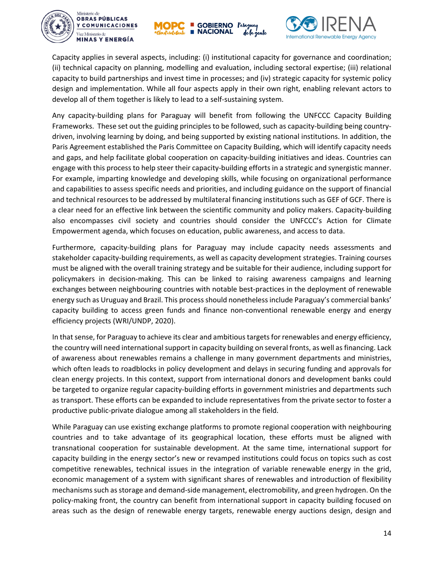





Capacity applies in several aspects, including: (i) institutional capacity for governance and coordination; (ii) technical capacity on planning, modelling and evaluation, including sectoral expertise; (iii) relational capacity to build partnerships and invest time in processes; and (iv) strategic capacity for systemic policy design and implementation. While all four aspects apply in their own right, enabling relevant actors to develop all of them together is likely to lead to a self-sustaining system.

Any capacity-building plans for Paraguay will benefit from following the UNFCCC Capacity Building Frameworks. These set out the guiding principles to be followed, such as capacity-building being countrydriven, involving learning by doing, and being supported by existing national institutions. In addition, the Paris Agreement established the Paris Committee on Capacity Building, which will identify capacity needs and gaps, and help facilitate global cooperation on capacity-building initiatives and ideas. Countries can engage with this process to help steer their capacity-building efforts in a strategic and synergistic manner. For example, imparting knowledge and developing skills, while focusing on organizational performance and capabilities to assess specific needs and priorities, and including guidance on the support of financial and technical resources to be addressed by multilateral financing institutions such as GEF of GCF. There is a clear need for an effective link between the scientific community and policy makers. Capacity-building also encompasses civil society and countries should consider the UNFCCC's Action for Climate Empowerment agenda, which focuses on education, public awareness, and access to data.

Furthermore, capacity-building plans for Paraguay may include capacity needs assessments and stakeholder capacity-building requirements, as well as capacity development strategies. Training courses must be aligned with the overall training strategy and be suitable for their audience, including support for policymakers in decision-making. This can be linked to raising awareness campaigns and learning exchanges between neighbouring countries with notable best-practices in the deployment of renewable energy such as Uruguay and Brazil. This process should nonetheless include Paraguay's commercial banks' capacity building to access green funds and finance non-conventional renewable energy and energy efficiency projects (WRI/UNDP, 2020).

In that sense, for Paraguay to achieve its clear and ambitious targets for renewables and energy efficiency, the country will need international support in capacity building on several fronts, as well as financing. Lack of awareness about renewables remains a challenge in many government departments and ministries, which often leads to roadblocks in policy development and delays in securing funding and approvals for clean energy projects. In this context, support from international donors and development banks could be targeted to organize regular capacity-building efforts in government ministries and departments such as transport. These efforts can be expanded to include representatives from the private sector to foster a productive public-private dialogue among all stakeholders in the field.

While Paraguay can use existing exchange platforms to promote regional cooperation with neighbouring countries and to take advantage of its geographical location, these efforts must be aligned with transnational cooperation for sustainable development. At the same time, international support for capacity building in the energy sector's new or revamped institutions could focus on topics such as cost competitive renewables, technical issues in the integration of variable renewable energy in the grid, economic management of a system with significant shares of renewables and introduction of flexibility mechanismssuch as storage and demand-side management, electromobility, and green hydrogen. On the policy-making front, the country can benefit from international support in capacity building focused on areas such as the design of renewable energy targets, renewable energy auctions design, design and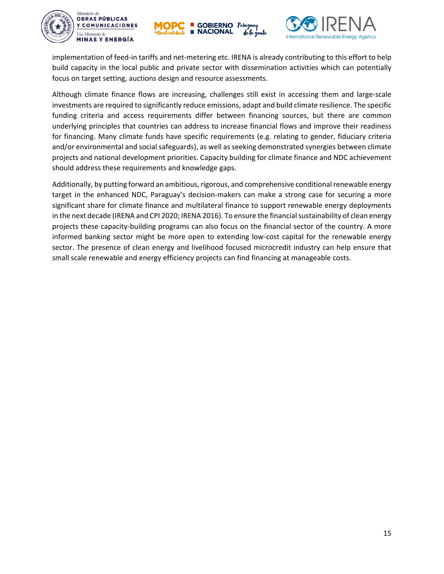





implementation of feed-in tariffs and net-metering etc. IRENA is already contributing to this effort to help build capacity in the local public and private sector with dissemination activities which can potentially focus on target setting, auctions design and resource assessments.

Although climate finance flows are increasing, challenges still exist in accessing them and large-scale investments are required to significantly reduce emissions, adapt and build climate resilience. The specific funding criteria and access requirements differ between financing sources, but there are common underlying principles that countries can address to increase financial flows and improve their readiness for financing. Many climate funds have specific requirements (e.g. relating to gender, fiduciary criteria and/or environmental and social safeguards), as well as seeking demonstrated synergies between climate projects and national development priorities. Capacity building for climate finance and NDC achievement should address these requirements and knowledge gaps.

Additionally, by putting forward an ambitious, rigorous, and comprehensive conditional renewable energy target in the enhanced NDC, Paraguay's decision-makers can make a strong case for securing a more significant share for climate finance and multilateral finance to support renewable energy deployments in the next decade (IRENA and CPI 2020; IRENA 2016). To ensure the financial sustainability of clean energy projects these capacity-building programs can also focus on the financial sector of the country. A more informed banking sector might be more open to extending low-cost capital for the renewable energy sector. The presence of clean energy and livelihood focused microcredit industry can help ensure that small scale renewable and energy efficiency projects can find financing at manageable costs.